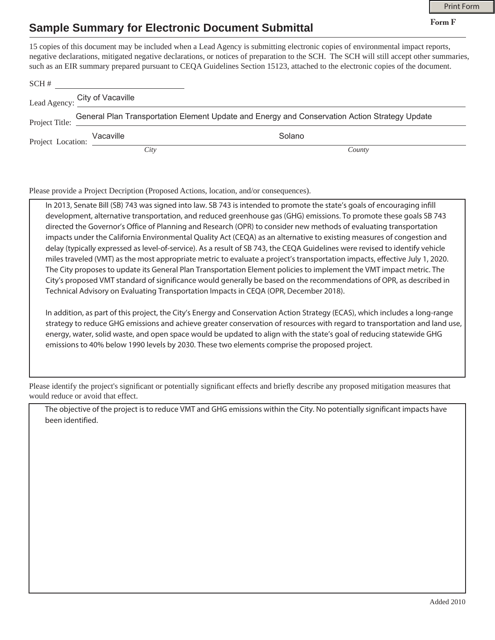**Form F**

## **Sample Summary for Electronic Document Submittal**

15 copies of this document may be included when a Lead Agency is submitting electronic copies of environmental impact reports, negative declarations, mitigated negative declarations, or notices of preparation to the SCH. The SCH will still accept other summaries, such as an EIR summary prepared pursuant to CEQA Guidelines Section 15123, attached to the electronic copies of the document.

| SCH# | Lead Agency: City of Vacaville           |                                                                                               |
|------|------------------------------------------|-----------------------------------------------------------------------------------------------|
|      |                                          |                                                                                               |
|      | Project Title:                           | General Plan Transportation Element Update and Energy and Conservation Action Strategy Update |
|      | Vacaville<br>Project Location: Vacaville | Solano                                                                                        |
|      | City                                     | County                                                                                        |

Please provide a Project Decription (Proposed Actions, location, and/or consequences).

In 2013, Senate Bill (SB) 743 was signed into law. SB 743 is intended to promote the state's goals of encouraging infill development, alternative transportation, and reduced greenhouse gas (GHG) emissions. To promote these goals SB 743 directed the Governor's Office of Planning and Research (OPR) to consider new methods of evaluating transportation impacts under the California Environmental Quality Act (CEQA) as an alternative to existing measures of congestion and delay (typically expressed as level-of-service). As a result of SB 743, the CEQA Guidelines were revised to identify vehicle miles traveled (VMT) as the most appropriate metric to evaluate a project's transportation impacts, effective July 1, 2020. The City proposes to update its General Plan Transportation Element policies to implement the VMT impact metric. The City's proposed VMT standard of significance would generally be based on the recommendations of OPR, as described in Technical Advisory on Evaluating Transportation Impacts in CEQA (OPR, December 2018).

In addition, as part of this project, the City's Energy and Conservation Action Strategy (ECAS), which includes a long-range strategy to reduce GHG emissions and achieve greater conservation of resources with regard to transportation and land use, energy, water, solid waste, and open space would be updated to align with the state's goal of reducing statewide GHG emissions to 40% below 1990 levels by 2030. These two elements comprise the proposed project.

Please identify the project's significant or potentially significant effects and briefly describe any proposed mitigation measures that would reduce or avoid that effect.

The objective of the project is to reduce VMT and GHG emissions within the City. No potentially significant impacts have been identified.